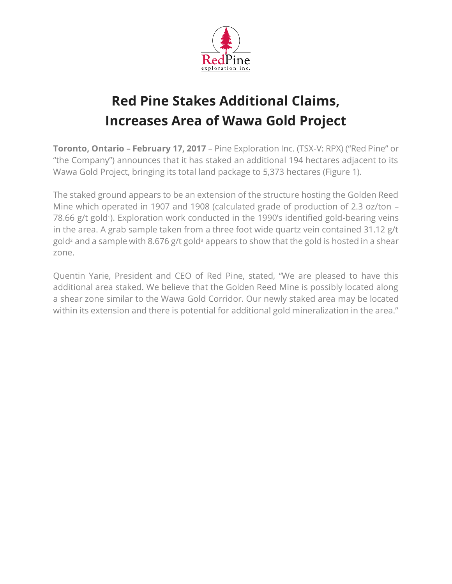

## **Red Pine Stakes Additional Claims, Increases Area of Wawa Gold Project**

**Toronto, Ontario – February 17, 2017** – Pine Exploration Inc. (TSX-V: RPX) ("Red Pine" or "the Company") announces that it has staked an additional 194 hectares adjacent to its Wawa Gold Project, bringing its total land package to 5,373 hectares (Figure 1).

The staked ground appears to be an extension of the structure hosting the Golden Reed Mine which operated in 1907 and 1908 (calculated grade of production of 2.3 oz/ton – 78.66 g/t gold<sup>1</sup>). Exploration work conducted in the 1990's identified gold-bearing veins in the area. A grab sample taken from a three foot wide quartz vein contained 31.12 g/t gold<sup>2</sup> and a sample with 8.676 g/t gold<sup>3</sup> appears to show that the gold is hosted in a shear zone.

Quentin Yarie, President and CEO of Red Pine, stated, "We are pleased to have this additional area staked. We believe that the Golden Reed Mine is possibly located along a shear zone similar to the Wawa Gold Corridor. Our newly staked area may be located within its extension and there is potential for additional gold mineralization in the area."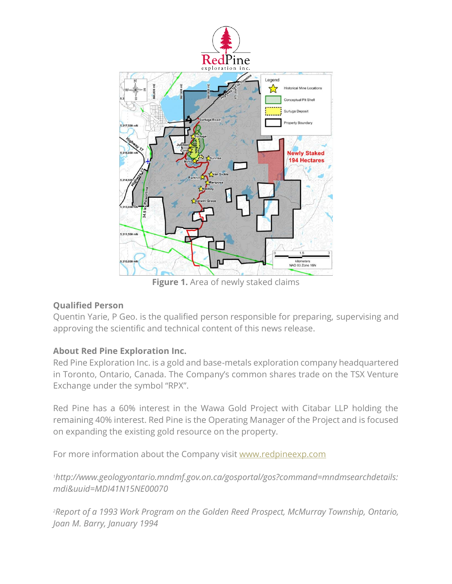

**Figure 1.** Area of newly staked claims

## **Qualified Person**

Quentin Yarie, P Geo. is the qualified person responsible for preparing, supervising and approving the scientific and technical content of this news release.

## **About Red Pine Exploration Inc.**

Red Pine Exploration Inc. is a gold and base-metals exploration company headquartered in Toronto, Ontario, Canada. The Company's common shares trade on the TSX Venture Exchange under the symbol "RPX".

Red Pine has a 60% interest in the Wawa Gold Project with Citabar LLP holding the remaining 40% interest. Red Pine is the Operating Manager of the Project and is focused on expanding the existing gold resource on the property.

For more information about the Company visit [www.redpineexp.com](http://www.redpineexp.com/)

*<sup>1</sup>http://www.geologyontario.mndmf.gov.on.ca/gosportal/gos?command=mndmsearchdetails: mdi&uuid=MDI41N15NE00070*

*<sup>2</sup>Report of a 1993 Work Program on the Golden Reed Prospect, McMurray Township, Ontario, Joan M. Barry, January 1994*